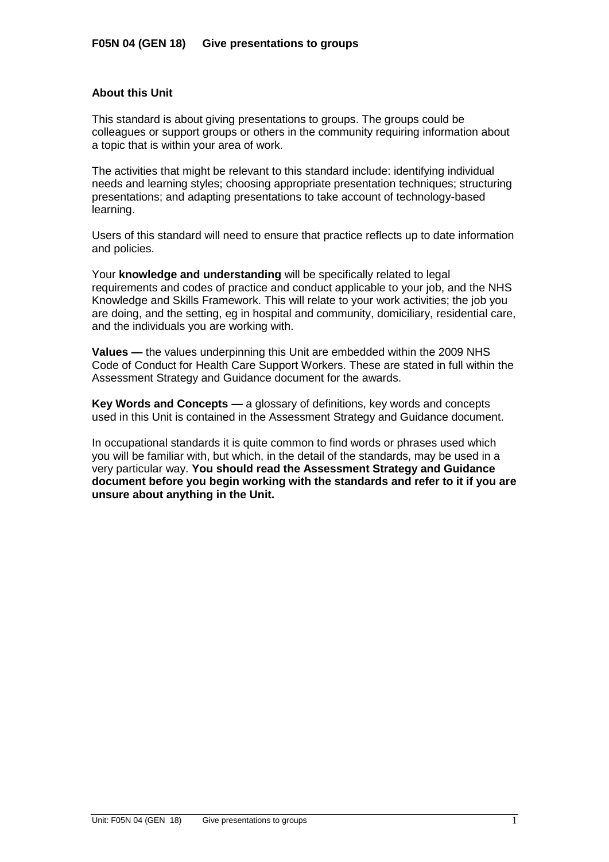## **About this Unit**

This standard is about giving presentations to groups. The groups could be colleagues or support groups or others in the community requiring information about a topic that is within your area of work.

The activities that might be relevant to this standard include: identifying individual needs and learning styles; choosing appropriate presentation techniques; structuring presentations; and adapting presentations to take account of technology-based learning.

Users of this standard will need to ensure that practice reflects up to date information and policies.

Your **knowledge and understanding** will be specifically related to legal requirements and codes of practice and conduct applicable to your job, and the NHS Knowledge and Skills Framework. This will relate to your work activities; the job you are doing, and the setting, eg in hospital and community, domiciliary, residential care, and the individuals you are working with.

**Values —** the values underpinning this Unit are embedded within the 2009 NHS Code of Conduct for Health Care Support Workers. These are stated in full within the Assessment Strategy and Guidance document for the awards.

**Key Words and Concepts —** a glossary of definitions, key words and concepts used in this Unit is contained in the Assessment Strategy and Guidance document.

In occupational standards it is quite common to find words or phrases used which you will be familiar with, but which, in the detail of the standards, may be used in a very particular way. **You should read the Assessment Strategy and Guidance document before you begin working with the standards and refer to it if you are unsure about anything in the Unit.**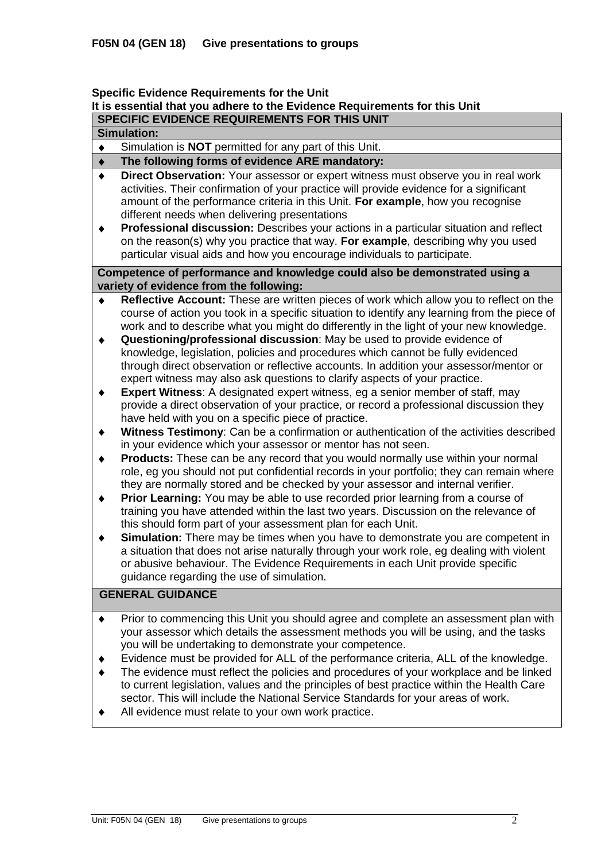### **Specific Evidence Requirements for the Unit It is essential that you adhere to the Evidence Requirements for this Unit SPECIFIC EVIDENCE REQUIREMENTS FOR THIS UNIT**

### **Simulation:**

Simulation is **NOT** permitted for any part of this Unit.  $\bullet$ 

#### **The following forms of evidence ARE mandatory:**  $\ddot{\bullet}$

- **Direct Observation:** Your assessor or expert witness must observe you in real work  $\blacklozenge$ activities. Their confirmation of your practice will provide evidence for a significant amount of the performance criteria in this Unit. **For example**, how you recognise different needs when delivering presentations
- $\ddot{\bullet}$ **Professional discussion:** Describes your actions in a particular situation and reflect on the reason(s) why you practice that way. **For example**, describing why you used particular visual aids and how you encourage individuals to participate.

### **Competence of performance and knowledge could also be demonstrated using a variety of evidence from the following:**

- **Reflective Account:** These are written pieces of work which allow you to reflect on the  $\blacklozenge$ course of action you took in a specific situation to identify any learning from the piece of work and to describe what you might do differently in the light of your new knowledge.
- $\bullet$ **Questioning/professional discussion**: May be used to provide evidence of knowledge, legislation, policies and procedures which cannot be fully evidenced through direct observation or reflective accounts. In addition your assessor/mentor or expert witness may also ask questions to clarify aspects of your practice.
- **Expert Witness**: A designated expert witness, eg a senior member of staff, may  $\blacklozenge$ provide a direct observation of your practice, or record a professional discussion they have held with you on a specific piece of practice.
- $\ddot{\bullet}$ **Witness Testimony**: Can be a confirmation or authentication of the activities described in your evidence which your assessor or mentor has not seen.
- $\ddot{\bullet}$ **Products:** These can be any record that you would normally use within your normal role, eg you should not put confidential records in your portfolio; they can remain where they are normally stored and be checked by your assessor and internal verifier.
- **Prior Learning:** You may be able to use recorded prior learning from a course of  $\blacklozenge$ training you have attended within the last two years. Discussion on the relevance of this should form part of your assessment plan for each Unit.
- **Simulation:** There may be times when you have to demonstrate you are competent in  $\blacklozenge$ a situation that does not arise naturally through your work role, eg dealing with violent or abusive behaviour. The Evidence Requirements in each Unit provide specific guidance regarding the use of simulation.

# **GENERAL GUIDANCE**

- Prior to commencing this Unit you should agree and complete an assessment plan with  $\blacklozenge$ your assessor which details the assessment methods you will be using, and the tasks you will be undertaking to demonstrate your competence.
- Evidence must be provided for ALL of the performance criteria, ALL of the knowledge.  $\blacklozenge$
- The evidence must reflect the policies and procedures of your workplace and be linked  $\bullet$ to current legislation, values and the principles of best practice within the Health Care sector. This will include the National Service Standards for your areas of work.
- All evidence must relate to your own work practice. $\ddot{\bullet}$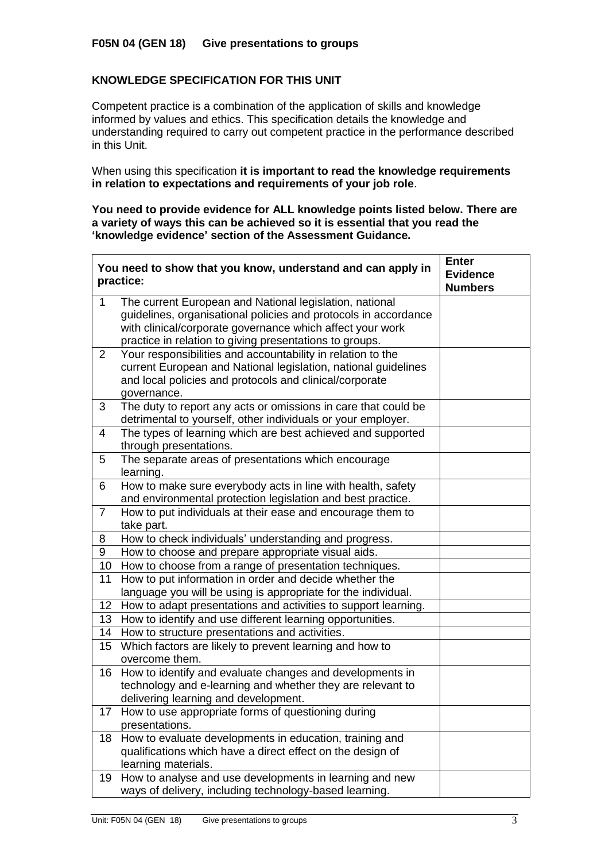# **KNOWLEDGE SPECIFICATION FOR THIS UNIT**

Competent practice is a combination of the application of skills and knowledge informed by values and ethics. This specification details the knowledge and understanding required to carry out competent practice in the performance described in this Unit.

When using this specification **it is important to read the knowledge requirements in relation to expectations and requirements of your job role**.

**You need to provide evidence for ALL knowledge points listed below. There are a variety of ways this can be achieved so it is essential that you read the 'knowledge evidence' section of the Assessment Guidance.**

|                 | You need to show that you know, understand and can apply in<br>practice:                                                                                                                                                                           | <b>Enter</b><br><b>Evidence</b><br><b>Numbers</b> |
|-----------------|----------------------------------------------------------------------------------------------------------------------------------------------------------------------------------------------------------------------------------------------------|---------------------------------------------------|
| 1               | The current European and National legislation, national<br>guidelines, organisational policies and protocols in accordance<br>with clinical/corporate governance which affect your work<br>practice in relation to giving presentations to groups. |                                                   |
| $\overline{2}$  | Your responsibilities and accountability in relation to the<br>current European and National legislation, national guidelines<br>and local policies and protocols and clinical/corporate<br>governance.                                            |                                                   |
| 3               | The duty to report any acts or omissions in care that could be<br>detrimental to yourself, other individuals or your employer.                                                                                                                     |                                                   |
| 4               | The types of learning which are best achieved and supported<br>through presentations.                                                                                                                                                              |                                                   |
| 5               | The separate areas of presentations which encourage<br>learning.                                                                                                                                                                                   |                                                   |
| 6               | How to make sure everybody acts in line with health, safety<br>and environmental protection legislation and best practice.                                                                                                                         |                                                   |
| $\overline{7}$  | How to put individuals at their ease and encourage them to<br>take part.                                                                                                                                                                           |                                                   |
| 8               | How to check individuals' understanding and progress.                                                                                                                                                                                              |                                                   |
| 9               | How to choose and prepare appropriate visual aids.                                                                                                                                                                                                 |                                                   |
| 10              | How to choose from a range of presentation techniques.                                                                                                                                                                                             |                                                   |
| 11              | How to put information in order and decide whether the<br>language you will be using is appropriate for the individual.                                                                                                                            |                                                   |
| 12 <sub>2</sub> | How to adapt presentations and activities to support learning.                                                                                                                                                                                     |                                                   |
| 13 <sup>°</sup> | How to identify and use different learning opportunities.                                                                                                                                                                                          |                                                   |
| 14              | How to structure presentations and activities.                                                                                                                                                                                                     |                                                   |
| $15\,$          | Which factors are likely to prevent learning and how to<br>overcome them.                                                                                                                                                                          |                                                   |
| 16              | How to identify and evaluate changes and developments in<br>technology and e-learning and whether they are relevant to<br>delivering learning and development.                                                                                     |                                                   |
| 17              | How to use appropriate forms of questioning during<br>presentations.                                                                                                                                                                               |                                                   |
| 18              | How to evaluate developments in education, training and<br>qualifications which have a direct effect on the design of<br>learning materials.                                                                                                       |                                                   |
| 19              | How to analyse and use developments in learning and new<br>ways of delivery, including technology-based learning.                                                                                                                                  |                                                   |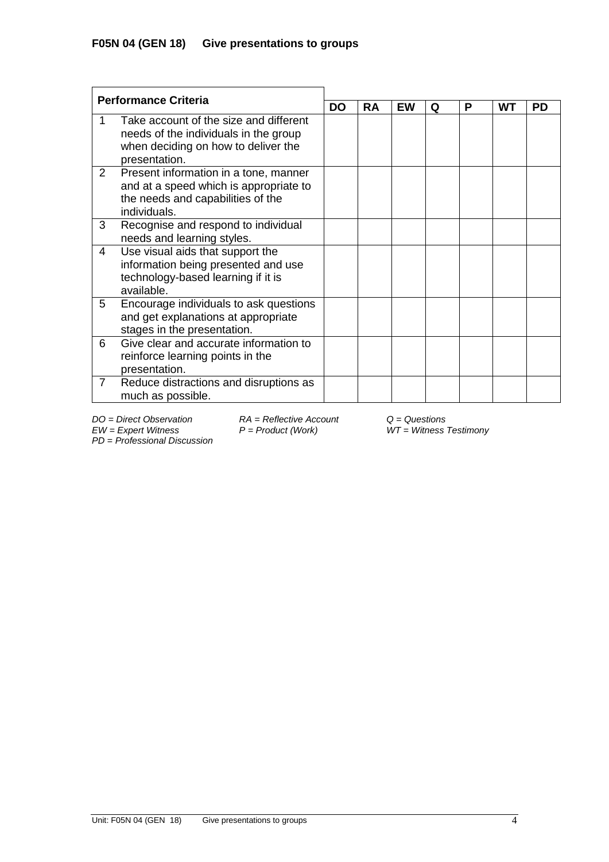| <b>Performance Criteria</b> |                                                                                                                                         |           |           |    |   |   |    |           |
|-----------------------------|-----------------------------------------------------------------------------------------------------------------------------------------|-----------|-----------|----|---|---|----|-----------|
|                             |                                                                                                                                         | <b>DO</b> | <b>RA</b> | EW | Q | Р | WТ | <b>PD</b> |
|                             | Take account of the size and different<br>needs of the individuals in the group<br>when deciding on how to deliver the<br>presentation. |           |           |    |   |   |    |           |
| $\mathbf{2}^{\prime}$       | Present information in a tone, manner<br>and at a speed which is appropriate to<br>the needs and capabilities of the<br>individuals.    |           |           |    |   |   |    |           |
| 3                           | Recognise and respond to individual<br>needs and learning styles.                                                                       |           |           |    |   |   |    |           |
| 4                           | Use visual aids that support the<br>information being presented and use<br>technology-based learning if it is<br>available.             |           |           |    |   |   |    |           |
| 5                           | Encourage individuals to ask questions<br>and get explanations at appropriate<br>stages in the presentation.                            |           |           |    |   |   |    |           |
| 6                           | Give clear and accurate information to<br>reinforce learning points in the<br>presentation.                                             |           |           |    |   |   |    |           |
| 7                           | Reduce distractions and disruptions as<br>much as possible.                                                                             |           |           |    |   |   |    |           |

*EW = Expert Witness P = Product (Work) WT = Witness Testimony PD* = *Professional Discussion*

*DO = Direct Observation RA = Reflective Account Q = Questions*